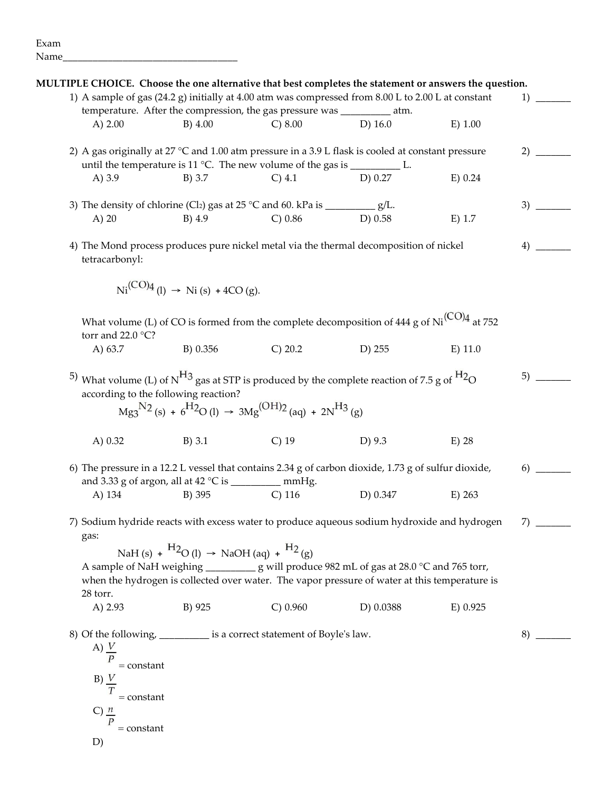| MULTIPLE CHOICE. Choose the one alternative that best completes the statement or answers the question.                                                                                      |                                                                      |                                                                                         |                                                                                                                                                                                                               |           | 1)       |
|---------------------------------------------------------------------------------------------------------------------------------------------------------------------------------------------|----------------------------------------------------------------------|-----------------------------------------------------------------------------------------|---------------------------------------------------------------------------------------------------------------------------------------------------------------------------------------------------------------|-----------|----------|
| 1) A sample of gas (24.2 g) initially at 4.00 atm was compressed from 8.00 L to 2.00 L at constant                                                                                          |                                                                      |                                                                                         |                                                                                                                                                                                                               |           |          |
|                                                                                                                                                                                             |                                                                      | temperature. After the compression, the gas pressure was _________ atm.                 | $D)$ 16.0                                                                                                                                                                                                     |           |          |
| A) $2.00$                                                                                                                                                                                   | $B)$ 4.00                                                            | C) 8.00                                                                                 |                                                                                                                                                                                                               | E) 1.00   |          |
| 2) A gas originally at 27 °C and 1.00 atm pressure in a 3.9 L flask is cooled at constant pressure                                                                                          |                                                                      |                                                                                         |                                                                                                                                                                                                               |           |          |
|                                                                                                                                                                                             |                                                                      | until the temperature is 11 °C. The new volume of the gas is $\frac{1}{\sqrt{2\pi}}$ L. |                                                                                                                                                                                                               |           |          |
| A) $3.9$                                                                                                                                                                                    | B) 3.7                                                               | $C)$ 4.1                                                                                | D) 0.27                                                                                                                                                                                                       | E) 0.24   |          |
| 3) The density of chlorine (Cl <sub>2</sub> ) gas at 25 °C and 60. kPa is $\frac{1}{\sqrt{2}}$ g/L.                                                                                         |                                                                      |                                                                                         |                                                                                                                                                                                                               |           |          |
| $A)$ 20                                                                                                                                                                                     | $B)$ 4.9                                                             | $C) 0.86$ D) 0.58                                                                       |                                                                                                                                                                                                               | $E)$ 1.7  |          |
| 4) The Mond process produces pure nickel metal via the thermal decomposition of nickel<br>tetracarbonyl:                                                                                    |                                                                      |                                                                                         |                                                                                                                                                                                                               |           |          |
|                                                                                                                                                                                             | $Ni^{(CO)4}$ (l) $\rightarrow$ Ni (s) +4CO (g).                      |                                                                                         |                                                                                                                                                                                                               |           |          |
| torr and 22.0 °C?                                                                                                                                                                           |                                                                      |                                                                                         | What volume (L) of CO is formed from the complete decomposition of 444 g of $Ni(CO)4$ at 752                                                                                                                  |           |          |
| A) 63.7                                                                                                                                                                                     | B) 0.356                                                             | C) 20.2                                                                                 | D) 255                                                                                                                                                                                                        | $E)$ 11.0 |          |
| <sup>5</sup> ) What volume (L) of N <sup>H<sub>3</sub></sup> gas at STP is produced by the complete reaction of 7.5 g of <sup>H<sub>2</sub></sup> O<br>according to the following reaction? |                                                                      | $Mg_3^{N_2}(s) + 6^{H_2}O(l) \rightarrow 3Mg^{(OH)2}(aq) + 2N^{H_3}(g)$                 |                                                                                                                                                                                                               |           |          |
| A) $0.32$                                                                                                                                                                                   | $B)$ 3.1                                                             | $C)$ 19                                                                                 | D) 9.3                                                                                                                                                                                                        | $E)$ 28   |          |
| 6) The pressure in a 12.2 L vessel that contains 2.34 g of carbon dioxide, 1.73 g of sulfur dioxide,<br>and 3.33 g of argon, all at 42 °C is ____________ mmHg.                             |                                                                      |                                                                                         |                                                                                                                                                                                                               |           | 6)       |
| A) 134                                                                                                                                                                                      |                                                                      | B) 395 C) 116                                                                           | D) 0.347                                                                                                                                                                                                      | E) 263    |          |
| 7) Sodium hydride reacts with excess water to produce aqueous sodium hydroxide and hydrogen<br>gas:                                                                                         |                                                                      |                                                                                         |                                                                                                                                                                                                               |           | $7)$ $-$ |
| 28 torr.<br>A) 2.93                                                                                                                                                                         | NaH(s) + $^{H2}O$ (l) $\rightarrow$ NaOH(aq) + $^{H2}$ (g)<br>B) 925 | C) 0.960                                                                                | A sample of NaH weighing ________________ g will produce 982 mL of gas at 28.0 °C and 765 torr,<br>when the hydrogen is collected over water. The vapor pressure of water at this temperature is<br>D) 0.0388 | E) 0.925  |          |
|                                                                                                                                                                                             |                                                                      |                                                                                         |                                                                                                                                                                                                               |           |          |
| 8) Of the following, ________ is a correct statement of Boyle's law.<br>A) $\frac{V}{P}$<br>$= constant$<br>B) V<br>$= constant$<br>C) $\frac{n}{2}$                                        |                                                                      |                                                                                         |                                                                                                                                                                                                               |           | 8)       |
| $= constant$                                                                                                                                                                                |                                                                      |                                                                                         |                                                                                                                                                                                                               |           |          |
| D)                                                                                                                                                                                          |                                                                      |                                                                                         |                                                                                                                                                                                                               |           |          |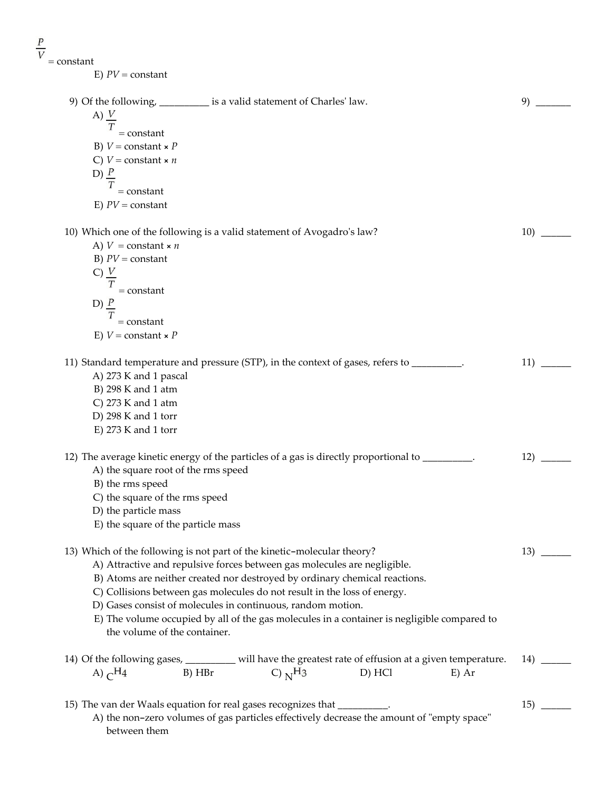| E) $PV = constant$                  |                                                                                                                |        |         |
|-------------------------------------|----------------------------------------------------------------------------------------------------------------|--------|---------|
|                                     |                                                                                                                |        |         |
|                                     | 9) Of the following, ___________ is a valid statement of Charles' law.                                         |        | 9)      |
| A) $\frac{V}{T}$                    |                                                                                                                |        |         |
| $= constant$                        |                                                                                                                |        |         |
| B) $V = constant \times P$          |                                                                                                                |        |         |
| C) $V = constant \times n$          |                                                                                                                |        |         |
| D) $\frac{P}{Q}$                    |                                                                                                                |        |         |
| Т<br>$=$ constant                   |                                                                                                                |        |         |
| E) $PV = constant$                  |                                                                                                                |        |         |
|                                     |                                                                                                                |        |         |
|                                     | 10) Which one of the following is a valid statement of Avogadro's law?                                         |        | 10)     |
| A) $V =$ constant $\times n$        |                                                                                                                |        |         |
| B) $PV = constant$                  |                                                                                                                |        |         |
| C) $\frac{V}{2}$                    |                                                                                                                |        |         |
| $= constant$                        |                                                                                                                |        |         |
| D) $\frac{P}{Q}$                    |                                                                                                                |        |         |
|                                     |                                                                                                                |        |         |
| $= constant$                        |                                                                                                                |        |         |
| E) $V = constant \times P$          |                                                                                                                |        |         |
|                                     | 11) Standard temperature and pressure (STP), in the context of gases, refers to _____                          |        | 11)     |
| A) 273 K and 1 pascal               |                                                                                                                |        |         |
| B) 298 K and 1 atm                  |                                                                                                                |        |         |
| C) $273$ K and 1 atm                |                                                                                                                |        |         |
| D) 298 K and 1 torr                 |                                                                                                                |        |         |
| $E$ ) 273 K and 1 torr              |                                                                                                                |        |         |
|                                     | 12) The average kinetic energy of the particles of a gas is directly proportional to ______                    |        | 12)     |
| A) the square root of the rms speed |                                                                                                                |        |         |
| B) the rms speed                    |                                                                                                                |        |         |
| C) the square of the rms speed      |                                                                                                                |        |         |
| D) the particle mass                |                                                                                                                |        |         |
| E) the square of the particle mass  |                                                                                                                |        |         |
|                                     | 13) Which of the following is not part of the kinetic-molecular theory?                                        |        | 13)     |
|                                     | A) Attractive and repulsive forces between gas molecules are negligible.                                       |        |         |
|                                     | B) Atoms are neither created nor destroyed by ordinary chemical reactions.                                     |        |         |
|                                     | C) Collisions between gas molecules do not result in the loss of energy.                                       |        |         |
|                                     | D) Gases consist of molecules in continuous, random motion.                                                    |        |         |
|                                     | E) The volume occupied by all of the gas molecules in a container is negligible compared to                    |        |         |
| the volume of the container.        |                                                                                                                |        |         |
|                                     |                                                                                                                |        |         |
|                                     | 14) Of the following gases, ________ will have the greatest rate of effusion at a given temperature.<br>B) HBr | D) HCl | 14)     |
| A) $C^{H_4}$                        | C) $N$ <sup>H<sub>3</sub></sup>                                                                                |        | $E)$ Ar |
|                                     | 15) The van der Waals equation for real gases recognizes that _________.                                       |        |         |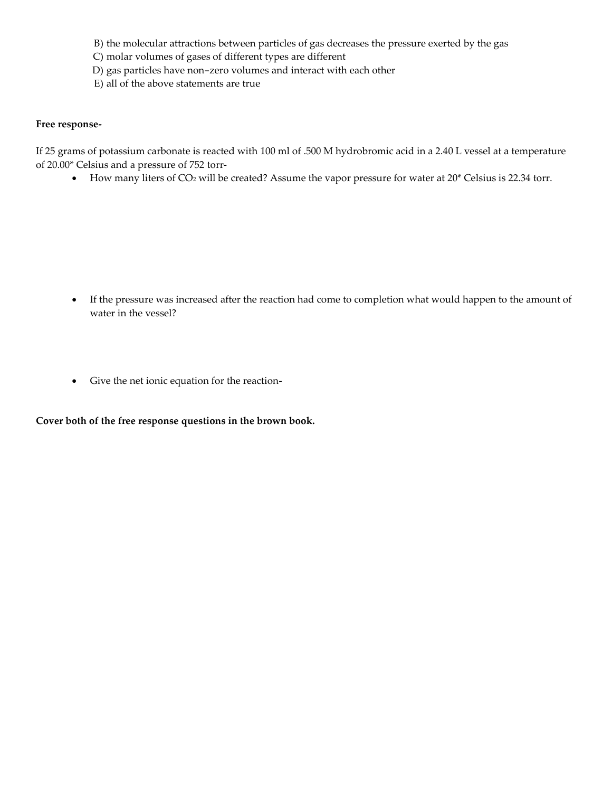- B) the molecular attractions between particles of gas decreases the pressure exerted by the gas
- C) molar volumes of gases of different types are different
- D) gas particles have non-zero volumes and interact with each other
- E) all of the above statements are true

## **Free response-**

If 25 grams of potassium carbonate is reacted with 100 ml of .500 M hydrobromic acid in a 2.40 L vessel at a temperature of 20.00\* Celsius and a pressure of 752 torr-

• How many liters of CO<sub>2</sub> will be created? Assume the vapor pressure for water at 20\* Celsius is 22.34 torr.

- If the pressure was increased after the reaction had come to completion what would happen to the amount of water in the vessel?
- Give the net ionic equation for the reaction-

**Cover both of the free response questions in the brown book.**